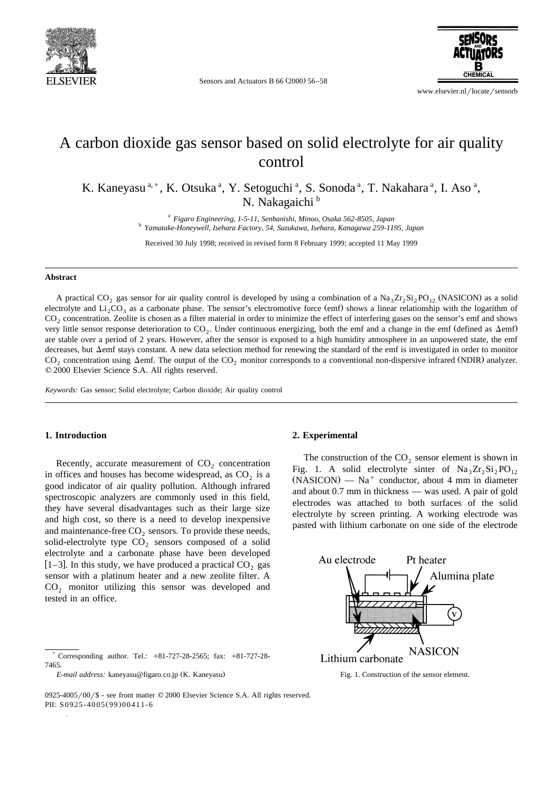

Sensors and Actuators B  $66 (2000) 56-58$ 



www.elsevier.nl/locate/sensorb

## A carbon dioxide gas sensor based on solid electrolyte for air quality control

K. Kaneyasu<sup>a,\*</sup>, K. Otsuka<sup>a</sup>, Y. Setoguchi<sup>a</sup>, S. Sonoda<sup>a</sup>, T. Nakahara<sup>a</sup>, I. Aso<sup>a</sup>, N. Nakagaichi<sup>b</sup>

<sup>a</sup> *Figaro Engineering, 1-5-11, Senbanishi, Minoo, Osaka 562-8505, Japan* <sup>b</sup> *Yamatake-Honeywell, Isehara Factory, 54, Suzukawa, Isehara, Kanagawa 259-1195, Japan*

Received 30 July 1998; received in revised form 8 February 1999; accepted 11 May 1999

#### **Abstract**

A practical CO<sub>2</sub> gas sensor for air quality control is developed by using a combination of a Na<sub>3</sub>Zr<sub>2</sub>Si<sub>2</sub>PO<sub>12</sub> (NASICON) as a solid electrolyte and  $Li_2CO_3$  as a carbonate phase. The sensor's electromotive force (emf) shows a linear relationship with the logarithm of CO<sub>2</sub> concentration. Zeolite is chosen as a filter material in order to minimize the effect of interfering gases on the sensor's emf and shows very little sensor response deterioration to  $CO<sub>2</sub>$ . Under continuous energizing, both the emf and a change in the emf (defined as  $\Delta$ emf) are stable over a period of 2 years. However, after the sensor is exposed to a high humidity atmosphere in an unpowered state, the emf decreases, but  $\Delta$ emf stays constant. A new data selection method for renewing the standard of the emf is investigated in order to monitor  $CO<sub>2</sub>$  concentration using  $\Delta$ emf. The output of the  $CO<sub>2</sub>$  monitor corresponds to a conventional non-dispersive infrared (NDIR) analyzer.  $© 2000 Elsevier Science S.A. All rights reserved.$ 

*Keywords:* Gas sensor; Solid electrolyte; Carbon dioxide; Air quality control

## **1. Introduction**

Recently, accurate measurement of  $CO<sub>2</sub>$  concentration in offices and houses has become widespread, as  $CO<sub>2</sub>$  is a good indicator of air quality pollution. Although infrared spectroscopic analyzers are commonly used in this field, they have several disadvantages such as their large size and high cost, so there is a need to develop inexpensive and maintenance-free  $CO<sub>2</sub>$  sensors. To provide these needs, solid-electrolyte type  $CO<sub>2</sub>$  sensors composed of a solid electrolyte and a carbonate phase have been developed [1–3]. In this study, we have produced a practical  $CO_2$  gas sensor with a platinum heater and a new zeolite filter. A  $CO<sub>2</sub>$  monitor utilizing this sensor was developed and tested in an office.

## **2. Experimental**

The construction of the  $CO<sub>2</sub>$  sensor element is shown in Fig. 1. A solid electrolyte sinter of  $\text{Na}_3\text{Zr}_2\text{Si}_2\text{PO}_{12}$  $(NASICON)$  — Na<sup>+</sup> conductor, about 4 mm in diameter and about 0.7 mm in thickness — was used. A pair of gold electrodes was attached to both surfaces of the solid electrolyte by screen printing. A working electrode was pasted with lithium carbonate on one side of the electrode



Fig. 1. Construction of the sensor element.

 $0925-4005/00$  / \$ - see front matter  $\odot$  2000 Elsevier Science S.A. All rights reserved. PII: S0925-4005(99)00411-6

Corresponding author. Tel.:  $+81-727-28-2565$ ; fax:  $+81-727-28-$ 7465.

*E-mail address: kaneyasu@figaro.co.jp* (K. Kaneyasu)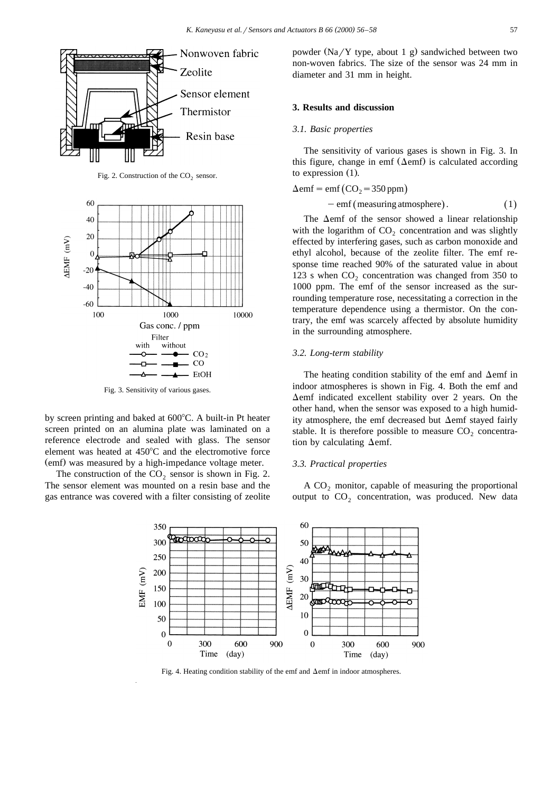

Fig. 2. Construction of the  $CO<sub>2</sub>$  sensor.



Fig. 3. Sensitivity of various gases.

by screen printing and baked at  $600^{\circ}$ C. A built-in Pt heater screen printed on an alumina plate was laminated on a reference electrode and sealed with glass. The sensor element was heated at  $450^{\circ}$ C and the electromotive force (emf) was measured by a high-impedance voltage meter.

The construction of the  $CO<sub>2</sub>$  sensor is shown in Fig. 2. The sensor element was mounted on a resin base and the gas entrance was covered with a filter consisting of zeolite powder  $(Na/Y$  type, about 1 g) sandwiched between two non-woven fabrics. The size of the sensor was 24 mm in diameter and 31 mm in height.

#### **3. Results and discussion**

#### *3.1. Basic properties*

The sensitivity of various gases is shown in Fig. 3. In this figure, change in emf  $( \Delta \text{emf} )$  is calculated according to expression  $(1)$ .

$$
\Delta \text{emf} = \text{emf} \left( \text{CO}_2 = 350 \,\text{ppm} \right) \n- \text{emf} \left( \text{measuring atmosphere} \right). \tag{1}
$$

The  $\Delta$ emf of the sensor showed a linear relationship with the logarithm of  $CO<sub>2</sub>$  concentration and was slightly effected by interfering gases, such as carbon monoxide and ethyl alcohol, because of the zeolite filter. The emf response time reached 90% of the saturated value in about 123 s when  $CO<sub>2</sub>$  concentration was changed from 350 to 1000 ppm. The emf of the sensor increased as the surrounding temperature rose, necessitating a correction in the temperature dependence using a thermistor. On the contrary, the emf was scarcely affected by absolute humidity in the surrounding atmosphere.

#### *3.2. Long-term stability*

The heating condition stability of the emf and  $\Delta$ emf in indoor atmospheres is shown in Fig. 4. Both the emf and  $\Delta$ emf indicated excellent stability over 2 years. On the other hand, when the sensor was exposed to a high humidity atmosphere, the emf decreased but  $\Delta$ emf stayed fairly stable. It is therefore possible to measure  $CO<sub>2</sub>$  concentration by calculating  $\Delta$ emf.

#### *3.3. Practical properties*

A  $CO<sub>2</sub>$  monitor, capable of measuring the proportional output to  $CO<sub>2</sub>$  concentration, was produced. New data



Fig. 4. Heating condition stability of the emf and  $\Delta$ emf in indoor atmospheres.